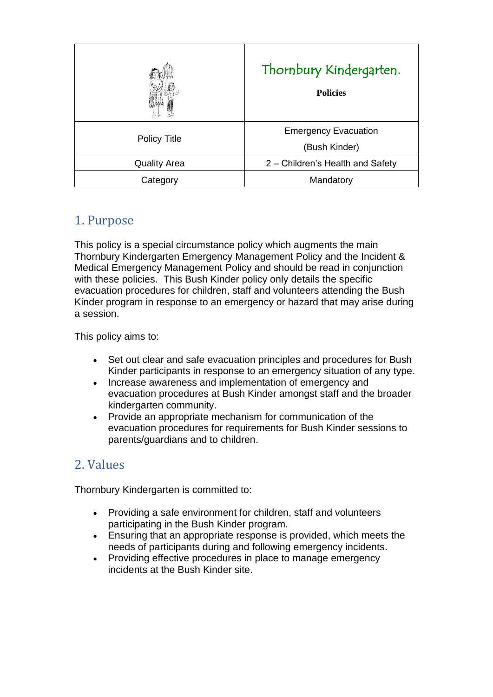|                     | Thornbury Kindergarten.<br><b>Policies</b>   |
|---------------------|----------------------------------------------|
| <b>Policy Title</b> | <b>Emergency Evacuation</b><br>(Bush Kinder) |
| <b>Quality Area</b> | 2 – Children's Health and Safety             |
| Category            | Mandatory                                    |

# 1. Purpose

This policy is a special circumstance policy which augments the main Thornbury Kindergarten Emergency Management Policy and the Incident & Medical Emergency Management Policy and should be read in conjunction with these policies. This Bush Kinder policy only details the specific evacuation procedures for children, staff and volunteers attending the Bush Kinder program in response to an emergency or hazard that may arise during a session.

This policy aims to:

- Set out clear and safe evacuation principles and procedures for Bush Kinder participants in response to an emergency situation of any type.
- Increase awareness and implementation of emergency and evacuation procedures at Bush Kinder amongst staff and the broader kindergarten community.
- Provide an appropriate mechanism for communication of the evacuation procedures for requirements for Bush Kinder sessions to parents/guardians and to children.

## 2. Values

Thornbury Kindergarten is committed to:

- Providing a safe environment for children, staff and volunteers participating in the Bush Kinder program.
- Ensuring that an appropriate response is provided, which meets the needs of participants during and following emergency incidents.
- Providing effective procedures in place to manage emergency incidents at the Bush Kinder site.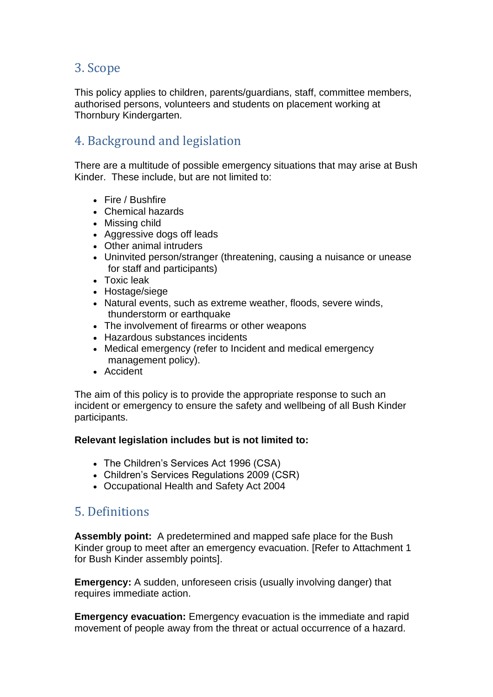## 3. Scope

This policy applies to children, parents/guardians, staff, committee members, authorised persons, volunteers and students on placement working at Thornbury Kindergarten.

## 4. Background and legislation

There are a multitude of possible emergency situations that may arise at Bush Kinder. These include, but are not limited to:

- Fire / Bushfire
- Chemical hazards
- Missing child
- Aggressive dogs off leads
- Other animal intruders
- Uninvited person/stranger (threatening, causing a nuisance or unease for staff and participants)
- Toxic leak
- Hostage/siege
- Natural events, such as extreme weather, floods, severe winds, thunderstorm or earthquake
- The involvement of firearms or other weapons
- Hazardous substances incidents
- Medical emergency (refer to Incident and medical emergency management policy).
- Accident

The aim of this policy is to provide the appropriate response to such an incident or emergency to ensure the safety and wellbeing of all Bush Kinder participants.

#### **Relevant legislation includes but is not limited to:**

- The Children's Services Act 1996 (CSA)
- Children's Services Regulations 2009 (CSR)
- Occupational Health and Safety Act 2004

## 5. Definitions

**Assembly point:** A predetermined and mapped safe place for the Bush Kinder group to meet after an emergency evacuation. [Refer to Attachment 1 for Bush Kinder assembly points].

**Emergency:** A sudden, unforeseen crisis (usually involving danger) that requires immediate action.

**Emergency evacuation:** Emergency evacuation is the immediate and rapid movement of people away from the threat or actual occurrence of a hazard.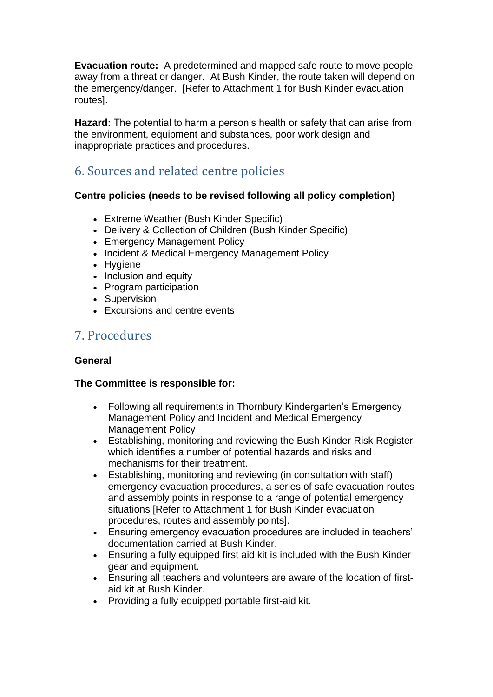**Evacuation route:** A predetermined and mapped safe route to move people away from a threat or danger. At Bush Kinder, the route taken will depend on the emergency/danger. [Refer to Attachment 1 for Bush Kinder evacuation routes].

**Hazard:** The potential to harm a person's health or safety that can arise from the environment, equipment and substances, poor work design and inappropriate practices and procedures.

# 6. Sources and related centre policies

### **Centre policies (needs to be revised following all policy completion)**

- Extreme Weather (Bush Kinder Specific)
- Delivery & Collection of Children (Bush Kinder Specific)
- Emergency Management Policy
- Incident & Medical Emergency Management Policy
- Hygiene
- Inclusion and equity
- Program participation
- Supervision
- Excursions and centre events

# 7. Procedures

### **General**

### **The Committee is responsible for:**

- Following all requirements in Thornbury Kindergarten's Emergency Management Policy and Incident and Medical Emergency Management Policy
- Establishing, monitoring and reviewing the Bush Kinder Risk Register which identifies a number of potential hazards and risks and mechanisms for their treatment.
- Establishing, monitoring and reviewing (in consultation with staff) emergency evacuation procedures, a series of safe evacuation routes and assembly points in response to a range of potential emergency situations [Refer to Attachment 1 for Bush Kinder evacuation procedures, routes and assembly points].
- Ensuring emergency evacuation procedures are included in teachers' documentation carried at Bush Kinder.
- Ensuring a fully equipped first aid kit is included with the Bush Kinder gear and equipment.
- Ensuring all teachers and volunteers are aware of the location of firstaid kit at Bush Kinder.
- Providing a fully equipped portable first-aid kit.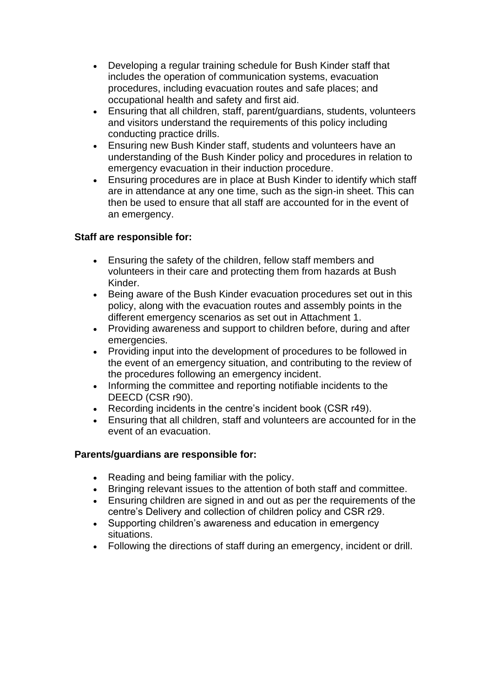- Developing a regular training schedule for Bush Kinder staff that includes the operation of communication systems, evacuation procedures, including evacuation routes and safe places; and occupational health and safety and first aid.
- Ensuring that all children, staff, parent/guardians, students, volunteers and visitors understand the requirements of this policy including conducting practice drills.
- Ensuring new Bush Kinder staff, students and volunteers have an understanding of the Bush Kinder policy and procedures in relation to emergency evacuation in their induction procedure.
- Ensuring procedures are in place at Bush Kinder to identify which staff are in attendance at any one time, such as the sign-in sheet. This can then be used to ensure that all staff are accounted for in the event of an emergency.

### **Staff are responsible for:**

- Ensuring the safety of the children, fellow staff members and volunteers in their care and protecting them from hazards at Bush Kinder.
- Being aware of the Bush Kinder evacuation procedures set out in this policy, along with the evacuation routes and assembly points in the different emergency scenarios as set out in Attachment 1.
- Providing awareness and support to children before, during and after emergencies.
- Providing input into the development of procedures to be followed in the event of an emergency situation, and contributing to the review of the procedures following an emergency incident.
- Informing the committee and reporting notifiable incidents to the DEECD (CSR r90).
- Recording incidents in the centre's incident book (CSR r49).
- Ensuring that all children, staff and volunteers are accounted for in the event of an evacuation.

### **Parents/guardians are responsible for:**

- Reading and being familiar with the policy.
- Bringing relevant issues to the attention of both staff and committee.
- Ensuring children are signed in and out as per the requirements of the centre's Delivery and collection of children policy and CSR r29.
- Supporting children's awareness and education in emergency situations.
- Following the directions of staff during an emergency, incident or drill.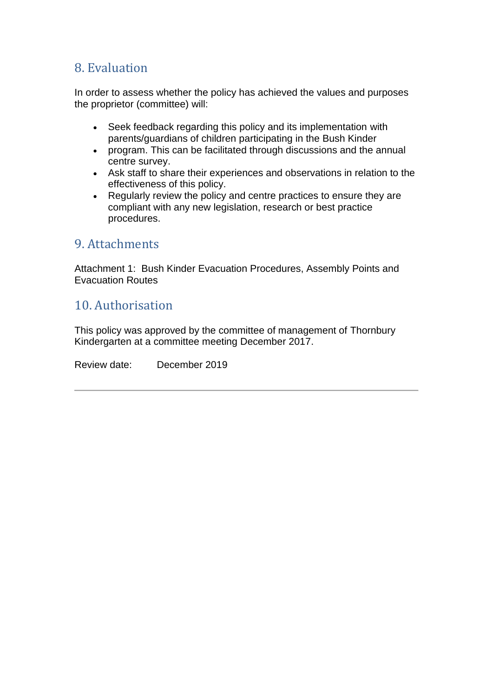## 8. Evaluation

In order to assess whether the policy has achieved the values and purposes the proprietor (committee) will:

- Seek feedback regarding this policy and its implementation with parents/guardians of children participating in the Bush Kinder
- program. This can be facilitated through discussions and the annual centre survey.
- Ask staff to share their experiences and observations in relation to the effectiveness of this policy.
- Regularly review the policy and centre practices to ensure they are compliant with any new legislation, research or best practice procedures.

## 9. Attachments

Attachment 1: Bush Kinder Evacuation Procedures, Assembly Points and Evacuation Routes

## 10. Authorisation

This policy was approved by the committee of management of Thornbury Kindergarten at a committee meeting December 2017.

Review date: December 2019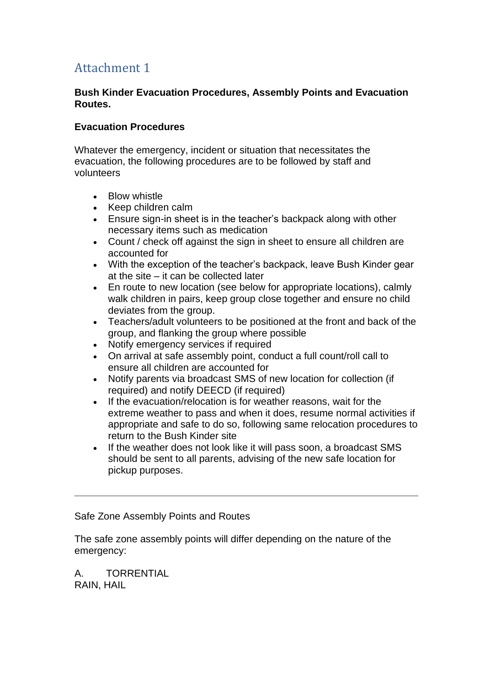# Attachment 1

#### **Bush Kinder Evacuation Procedures, Assembly Points and Evacuation Routes.**

#### **Evacuation Procedures**

Whatever the emergency, incident or situation that necessitates the evacuation, the following procedures are to be followed by staff and volunteers

- Blow whistle
- Keep children calm
- Ensure sign-in sheet is in the teacher's backpack along with other necessary items such as medication
- Count / check off against the sign in sheet to ensure all children are accounted for
- With the exception of the teacher's backpack, leave Bush Kinder gear at the site – it can be collected later
- En route to new location (see below for appropriate locations), calmly walk children in pairs, keep group close together and ensure no child deviates from the group.
- Teachers/adult volunteers to be positioned at the front and back of the group, and flanking the group where possible
- Notify emergency services if required
- On arrival at safe assembly point, conduct a full count/roll call to ensure all children are accounted for
- Notify parents via broadcast SMS of new location for collection (if required) and notify DEECD (if required)
- If the evacuation/relocation is for weather reasons, wait for the extreme weather to pass and when it does, resume normal activities if appropriate and safe to do so, following same relocation procedures to return to the Bush Kinder site
- If the weather does not look like it will pass soon, a broadcast SMS should be sent to all parents, advising of the new safe location for pickup purposes.

#### Safe Zone Assembly Points and Routes

The safe zone assembly points will differ depending on the nature of the emergency:

A. TORRENTIAL RAIN, HAIL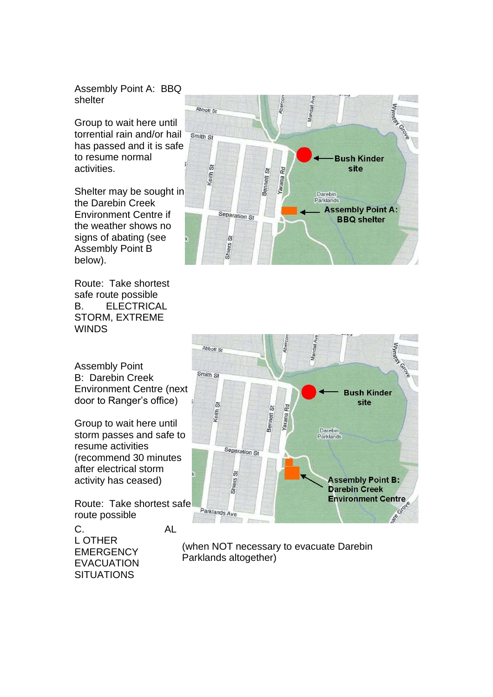Assembly Point A: BBQ shelter

Group to wait here until torrential rain and/or hail has passed and it is safe to resume normal activities.

Shelter may be sought in the Darebin Creek Environment Centre if the weather shows no signs of abating (see Assembly Point B below).

Route: Take shortest safe route possible B. ELECTRICAL STORM, EXTREME **WINDS** 

Assembly Point B: Darebin Creek Environment Centre (next door to Ranger's office)

Group to wait here until storm passes and safe to resume activities (recommend 30 minutes after electrical storm activity has ceased)

Route: Take shortest safe route possible

C. AL L OTHER **EMERGENCY** EVACUATION **SITUATIONS** 





(when NOT necessary to evacuate Darebin Parklands altogether)